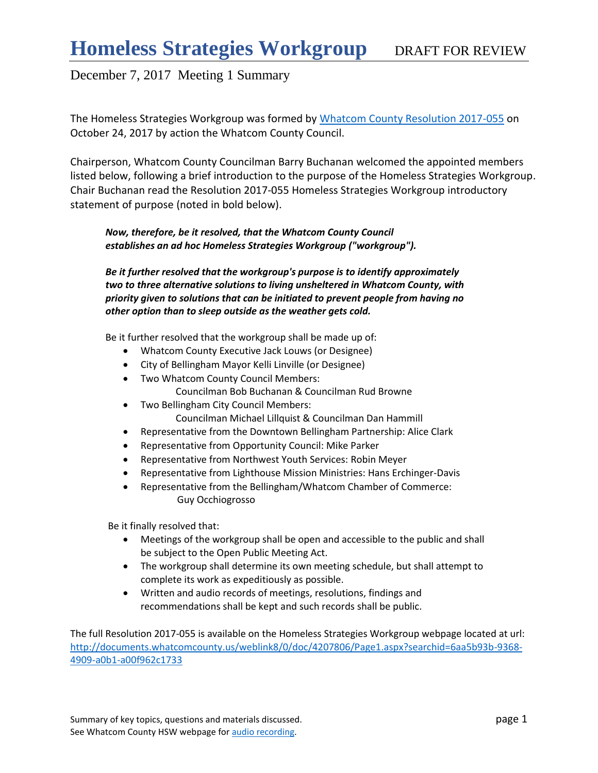The Homeless Strategies Workgroup was formed by [Whatcom County Resolution 2017-055](http://documents.whatcomcounty.us/weblink8/0/doc/4207806/Page1.aspx?searchid=6aa5b93b-9368-4909-a0b1-a00f962c1733) on October 24, 2017 by action the Whatcom County Council.

Chairperson, Whatcom County Councilman Barry Buchanan welcomed the appointed members listed below, following a brief introduction to the purpose of the Homeless Strategies Workgroup. Chair Buchanan read the Resolution 2017-055 Homeless Strategies Workgroup introductory statement of purpose (noted in bold below).

*Now, therefore, be it resolved, that the Whatcom County Council establishes an ad hoc Homeless Strategies Workgroup ("workgroup").* 

*Be it further resolved that the workgroup's purpose is to identify approximately two to three alternative solutions to living unsheltered in Whatcom County, with priority given to solutions that can be initiated to prevent people from having no other option than to sleep outside as the weather gets cold.* 

Be it further resolved that the workgroup shall be made up of:

- Whatcom County Executive Jack Louws (or Designee)
- City of Bellingham Mayor Kelli Linville (or Designee)
- Two Whatcom County Council Members: Councilman Bob Buchanan & Councilman Rud Browne
- Two Bellingham City Council Members: Councilman Michael Lillquist & Councilman Dan Hammill
- Representative from the Downtown Bellingham Partnership: Alice Clark
- Representative from Opportunity Council: Mike Parker
- Representative from Northwest Youth Services: Robin Meyer
- Representative from Lighthouse Mission Ministries: Hans Erchinger-Davis
- Representative from the Bellingham/Whatcom Chamber of Commerce: Guy Occhiogrosso

Be it finally resolved that:

- Meetings of the workgroup shall be open and accessible to the public and shall be subject to the Open Public Meeting Act.
- The workgroup shall determine its own meeting schedule, but shall attempt to complete its work as expeditiously as possible.
- Written and audio records of meetings, resolutions, findings and recommendations shall be kept and such records shall be public.

The full Resolution 2017-055 is available on the Homeless Strategies Workgroup webpage located at url: [http://documents.whatcomcounty.us/weblink8/0/doc/4207806/Page1.aspx?searchid=6aa5b93b-9368-](http://documents.whatcomcounty.us/weblink8/0/doc/4207806/Page1.aspx?searchid=6aa5b93b-9368-4909-a0b1-a00f962c1733) [4909-a0b1-a00f962c1733](http://documents.whatcomcounty.us/weblink8/0/doc/4207806/Page1.aspx?searchid=6aa5b93b-9368-4909-a0b1-a00f962c1733)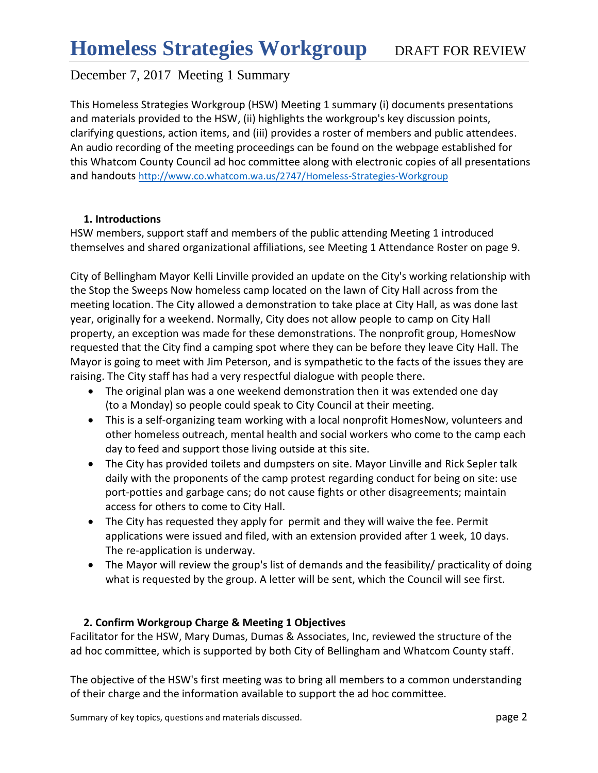This Homeless Strategies Workgroup (HSW) Meeting 1 summary (i) documents presentations and materials provided to the HSW, (ii) highlights the workgroup's key discussion points, clarifying questions, action items, and (iii) provides a roster of members and public attendees. An audio recording of the meeting proceedings can be found on the webpage established for this Whatcom County Council ad hoc committee along with electronic copies of all presentations and handouts <http://www.co.whatcom.wa.us/2747/Homeless-Strategies-Workgroup>

### **1. Introductions**

HSW members, support staff and members of the public attending Meeting 1 introduced themselves and shared organizational affiliations, see Meeting 1 Attendance Roster on page 9.

City of Bellingham Mayor Kelli Linville provided an update on the City's working relationship with the Stop the Sweeps Now homeless camp located on the lawn of City Hall across from the meeting location. The City allowed a demonstration to take place at City Hall, as was done last year, originally for a weekend. Normally, City does not allow people to camp on City Hall property, an exception was made for these demonstrations. The nonprofit group, HomesNow requested that the City find a camping spot where they can be before they leave City Hall. The Mayor is going to meet with Jim Peterson, and is sympathetic to the facts of the issues they are raising. The City staff has had a very respectful dialogue with people there.

- The original plan was a one weekend demonstration then it was extended one day (to a Monday) so people could speak to City Council at their meeting.
- This is a self-organizing team working with a local nonprofit HomesNow, volunteers and other homeless outreach, mental health and social workers who come to the camp each day to feed and support those living outside at this site.
- The City has provided toilets and dumpsters on site. Mayor Linville and Rick Sepler talk daily with the proponents of the camp protest regarding conduct for being on site: use port-potties and garbage cans; do not cause fights or other disagreements; maintain access for others to come to City Hall.
- The City has requested they apply for permit and they will waive the fee. Permit applications were issued and filed, with an extension provided after 1 week, 10 days. The re-application is underway.
- The Mayor will review the group's list of demands and the feasibility/ practicality of doing what is requested by the group. A letter will be sent, which the Council will see first.

## **2. Confirm Workgroup Charge & Meeting 1 Objectives**

Facilitator for the HSW, Mary Dumas, Dumas & Associates, Inc, reviewed the structure of the ad hoc committee, which is supported by both City of Bellingham and Whatcom County staff.

The objective of the HSW's first meeting was to bring all members to a common understanding of their charge and the information available to support the ad hoc committee.

Summary of key topics, questions and materials discussed. **page 2** page 2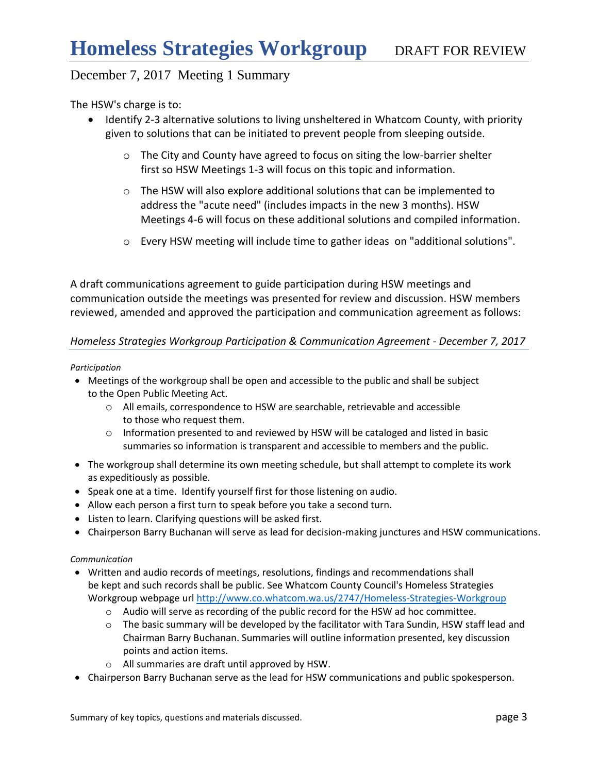The HSW's charge is to:

- Identify 2-3 alternative solutions to living unsheltered in Whatcom County, with priority given to solutions that can be initiated to prevent people from sleeping outside.
	- o The City and County have agreed to focus on siting the low-barrier shelter first so HSW Meetings 1-3 will focus on this topic and information.
	- $\circ$  The HSW will also explore additional solutions that can be implemented to address the "acute need" (includes impacts in the new 3 months). HSW Meetings 4-6 will focus on these additional solutions and compiled information.
	- o Every HSW meeting will include time to gather ideas on "additional solutions".

A draft communications agreement to guide participation during HSW meetings and communication outside the meetings was presented for review and discussion. HSW members reviewed, amended and approved the participation and communication agreement as follows:

### *Homeless Strategies Workgroup Participation & Communication Agreement - December 7, 2017*

#### *Participation*

- Meetings of the workgroup shall be open and accessible to the public and shall be subject to the Open Public Meeting Act.
	- o All emails, correspondence to HSW are searchable, retrievable and accessible to those who request them.
	- $\circ$  Information presented to and reviewed by HSW will be cataloged and listed in basic summaries so information is transparent and accessible to members and the public.
- The workgroup shall determine its own meeting schedule, but shall attempt to complete its work as expeditiously as possible.
- Speak one at a time. Identify yourself first for those listening on audio.
- Allow each person a first turn to speak before you take a second turn.
- Listen to learn. Clarifying questions will be asked first.
- Chairperson Barry Buchanan will serve as lead for decision-making junctures and HSW communications.

#### *Communication*

- Written and audio records of meetings, resolutions, findings and recommendations shall be kept and such records shall be public. See Whatcom County Council's Homeless Strategies Workgroup webpage url<http://www.co.whatcom.wa.us/2747/Homeless-Strategies-Workgroup>
	- o Audio will serve as recording of the public record for the HSW ad hoc committee.
	- $\circ$  The basic summary will be developed by the facilitator with Tara Sundin, HSW staff lead and Chairman Barry Buchanan. Summaries will outline information presented, key discussion points and action items.
	- o All summaries are draft until approved by HSW.
- Chairperson Barry Buchanan serve as the lead for HSW communications and public spokesperson.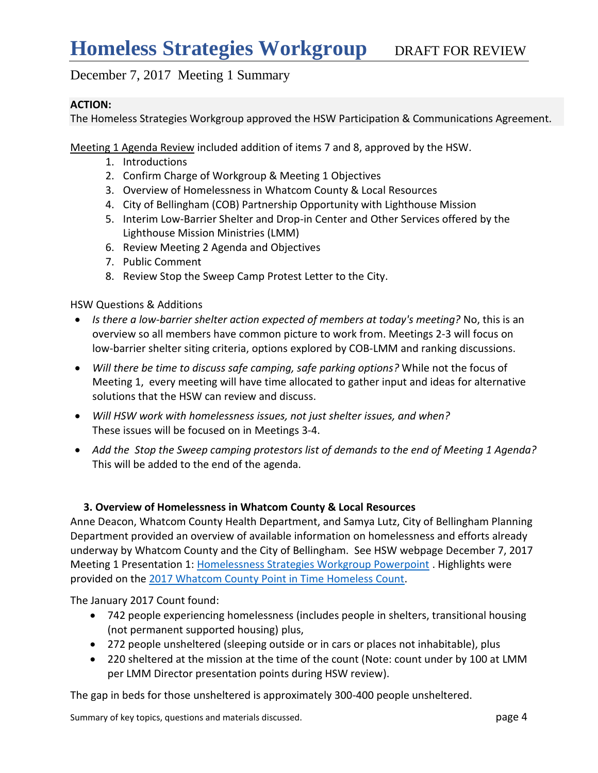### **ACTION:**

The Homeless Strategies Workgroup approved the HSW Participation & Communications Agreement.

Meeting 1 Agenda Review included addition of items 7 and 8, approved by the HSW.

- 1. Introductions
- 2. Confirm Charge of Workgroup & Meeting 1 Objectives
- 3. Overview of Homelessness in Whatcom County & Local Resources
- 4. City of Bellingham (COB) Partnership Opportunity with Lighthouse Mission
- 5. Interim Low-Barrier Shelter and Drop-in Center and Other Services offered by the Lighthouse Mission Ministries (LMM)
- 6. Review Meeting 2 Agenda and Objectives
- 7. Public Comment
- 8. Review Stop the Sweep Camp Protest Letter to the City.

### HSW Questions & Additions

- *Is there a low-barrier shelter action expected of members at today's meeting?* No, this is an overview so all members have common picture to work from. Meetings 2-3 will focus on low-barrier shelter siting criteria, options explored by COB-LMM and ranking discussions.
- *Will there be time to discuss safe camping, safe parking options?* While not the focus of Meeting 1, every meeting will have time allocated to gather input and ideas for alternative solutions that the HSW can review and discuss.
- *Will HSW work with homelessness issues, not just shelter issues, and when?*  These issues will be focused on in Meetings 3-4.
- *Add the Stop the Sweep camping protestors list of demands to the end of Meeting 1 Agenda?*  This will be added to the end of the agenda.

## **3. Overview of Homelessness in Whatcom County & Local Resources**

Anne Deacon, Whatcom County Health Department, and Samya Lutz, City of Bellingham Planning Department provided an overview of available information on homelessness and efforts already underway by Whatcom County and the City of Bellingham. See HSW webpage December 7, 2017 Meeting 1 Presentation 1: [Homelessness Strategies Workgroup Powerpoint](http://www.co.whatcom.wa.us/DocumentCenter/View/32000) . Highlights were provided on the [2017 Whatcom County Point in Time Homeless Count.](https://www.whatcomhsc.org/plans-and-reports/)

The January 2017 Count found:

- 742 people experiencing homelessness (includes people in shelters, transitional housing (not permanent supported housing) plus,
- 272 people unsheltered (sleeping outside or in cars or places not inhabitable), plus
- 220 sheltered at the mission at the time of the count (Note: count under by 100 at LMM per LMM Director presentation points during HSW review).

The gap in beds for those unsheltered is approximately 300-400 people unsheltered.

Summary of key topics, questions and materials discussed. **page 4** and page 4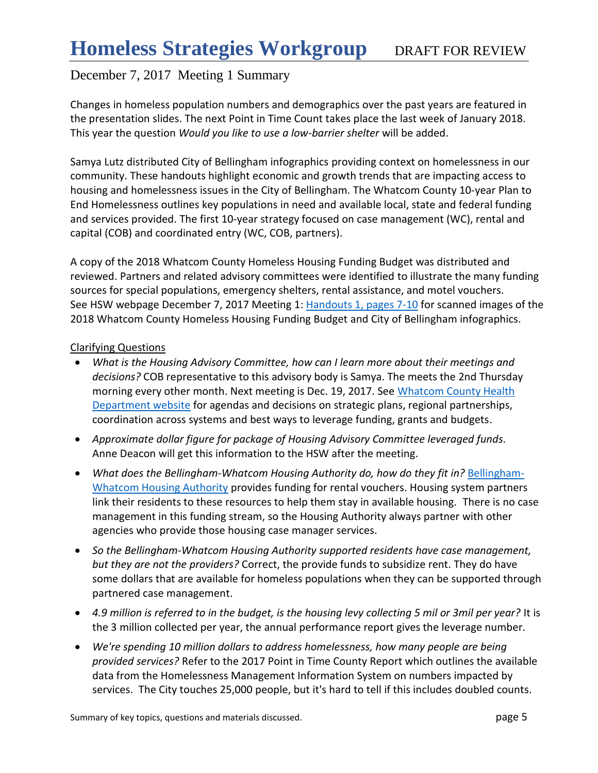Changes in homeless population numbers and demographics over the past years are featured in the presentation slides. The next Point in Time Count takes place the last week of January 2018. This year the question *Would you like to use a low-barrier shelter* will be added.

Samya Lutz distributed City of Bellingham infographics providing context on homelessness in our community. These handouts highlight economic and growth trends that are impacting access to housing and homelessness issues in the City of Bellingham. The Whatcom County 10-year Plan to End Homelessness outlines key populations in need and available local, state and federal funding and services provided. The first 10-year strategy focused on case management (WC), rental and capital (COB) and coordinated entry (WC, COB, partners).

A copy of the 2018 Whatcom County Homeless Housing Funding Budget was distributed and reviewed. Partners and related advisory committees were identified to illustrate the many funding sources for special populations, emergency shelters, rental assistance, and motel vouchers. See HSW webpage December 7, 2017 Meeting 1: [Handouts 1,](http://www.co.whatcom.wa.us/2748/Homeless-Strategies-Workgroup-Meeting-In) pages 7-10 for scanned images of the 2018 Whatcom County Homeless Housing Funding Budget and City of Bellingham infographics.

### Clarifying Questions

- *What is the Housing Advisory Committee, how can I learn more about their meetings and decisions?* COB representative to this advisory body is Samya. The meets the 2nd Thursday morning every other month. Next meeting is Dec. 19, 2017. See Whatcom County Health [Department website](https://www.whatcomcounty.us/639/Whatcom-County-Housing-Advisory-Committe) for agendas and decisions on strategic plans, regional partnerships, coordination across systems and best ways to leverage funding, grants and budgets.
- *Approximate dollar figure for package of Housing Advisory Committee leveraged funds.*  Anne Deacon will get this information to the HSW after the meeting.
- What does the Bellingham-Whatcom Housing Authority do, how do they fit in? [Bellingham-](http://www.bellinghamhousing.org/)[Whatcom Housing Authority](http://www.bellinghamhousing.org/) provides funding for rental vouchers. Housing system partners link their residents to these resources to help them stay in available housing. There is no case management in this funding stream, so the Housing Authority always partner with other agencies who provide those housing case manager services.
- *So the Bellingham-Whatcom Housing Authority supported residents have case management, but they are not the providers?* Correct, the provide funds to subsidize rent. They do have some dollars that are available for homeless populations when they can be supported through partnered case management.
- *4.9 million is referred to in the budget, is the housing levy collecting 5 mil or 3mil per year?* It is the 3 million collected per year, the annual performance report gives the leverage number.
- *We're spending 10 million dollars to address homelessness, how many people are being provided services?* Refer to the 2017 Point in Time County Report which outlines the available data from the Homelessness Management Information System on numbers impacted by services. The City touches 25,000 people, but it's hard to tell if this includes doubled counts.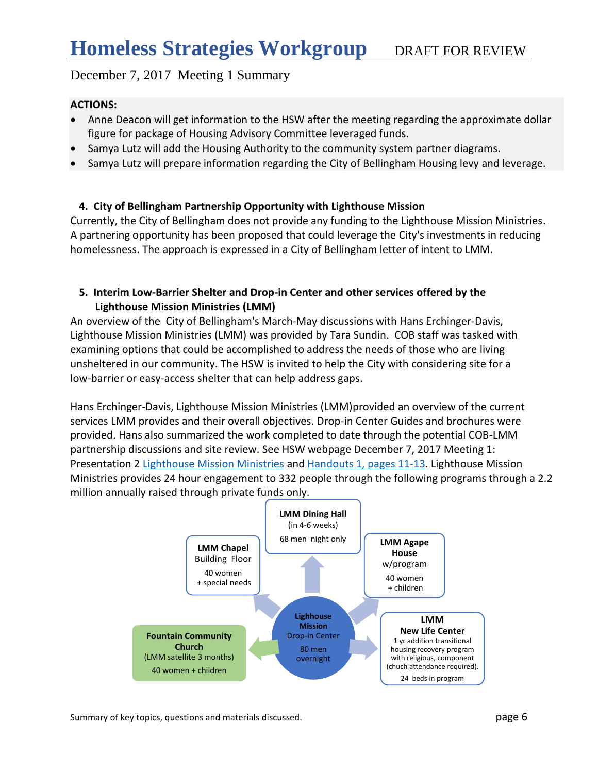## **ACTIONS:**

- Anne Deacon will get information to the HSW after the meeting regarding the approximate dollar figure for package of Housing Advisory Committee leveraged funds.
- Samya Lutz will add the Housing Authority to the community system partner diagrams.
- Samya Lutz will prepare information regarding the City of Bellingham Housing levy and leverage.

## **4. City of Bellingham Partnership Opportunity with Lighthouse Mission**

Currently, the City of Bellingham does not provide any funding to the Lighthouse Mission Ministries. A partnering opportunity has been proposed that could leverage the City's investments in reducing homelessness. The approach is expressed in a City of Bellingham letter of intent to LMM.

## **5. Interim Low-Barrier Shelter and Drop-in Center and other services offered by the Lighthouse Mission Ministries (LMM)**

An overview of the City of Bellingham's March-May discussions with Hans Erchinger-Davis, Lighthouse Mission Ministries (LMM) was provided by Tara Sundin. COB staff was tasked with examining options that could be accomplished to address the needs of those who are living unsheltered in our community. The HSW is invited to help the City with considering site for a low-barrier or easy-access shelter that can help address gaps.

Hans Erchinger-Davis, Lighthouse Mission Ministries (LMM)provided an overview of the current services LMM provides and their overall objectives. Drop-in Center Guides and brochures were provided. Hans also summarized the work completed to date through the potential COB-LMM partnership discussions and site review. See HSW webpage December 7, 2017 Meeting 1: Presentation 2 [Lighthouse Mission Ministries](http://www.co.whatcom.wa.us/DocumentCenter/View/32001) and [Handouts 1, pages 11-13.](http://www.co.whatcom.wa.us/2748/Homeless-Strategies-Workgroup-Meeting-In) Lighthouse Mission Ministries provides 24 hour engagement to 332 people through the following programs through a 2.2 million annually raised through private funds only.



Summary of key topics, questions and materials discussed. **page 6** and page 6 and page 6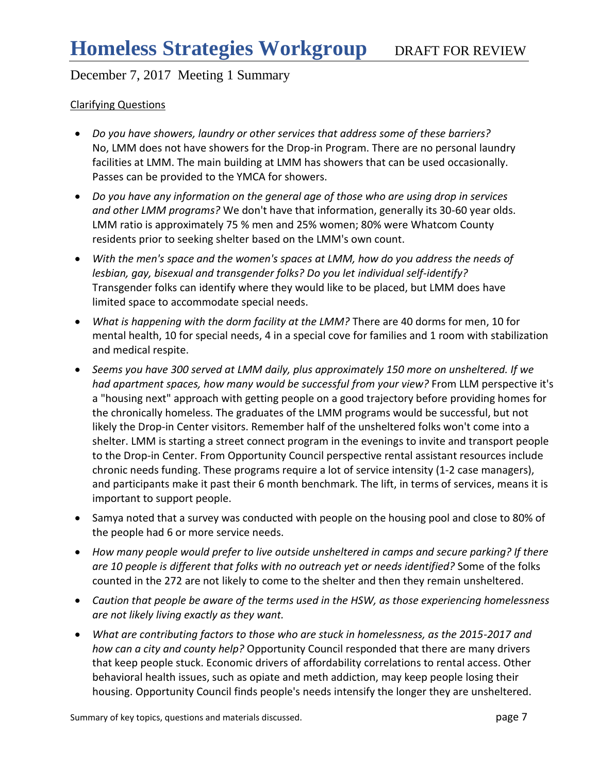### Clarifying Questions

- *Do you have showers, laundry or other services that address some of these barriers?* No, LMM does not have showers for the Drop-in Program. There are no personal laundry facilities at LMM. The main building at LMM has showers that can be used occasionally. Passes can be provided to the YMCA for showers.
- *Do you have any information on the general age of those who are using drop in services and other LMM programs?* We don't have that information, generally its 30-60 year olds. LMM ratio is approximately 75 % men and 25% women; 80% were Whatcom County residents prior to seeking shelter based on the LMM's own count.
- *With the men's space and the women's spaces at LMM, how do you address the needs of lesbian, gay, bisexual and transgender folks? Do you let individual self-identify?*  Transgender folks can identify where they would like to be placed, but LMM does have limited space to accommodate special needs.
- *What is happening with the dorm facility at the LMM?* There are 40 dorms for men, 10 for mental health, 10 for special needs, 4 in a special cove for families and 1 room with stabilization and medical respite.
- *Seems you have 300 served at LMM daily, plus approximately 150 more on unsheltered. If we had apartment spaces, how many would be successful from your view?* From LLM perspective it's a "housing next" approach with getting people on a good trajectory before providing homes for the chronically homeless. The graduates of the LMM programs would be successful, but not likely the Drop-in Center visitors. Remember half of the unsheltered folks won't come into a shelter. LMM is starting a street connect program in the evenings to invite and transport people to the Drop-in Center. From Opportunity Council perspective rental assistant resources include chronic needs funding. These programs require a lot of service intensity (1-2 case managers), and participants make it past their 6 month benchmark. The lift, in terms of services, means it is important to support people.
- Samya noted that a survey was conducted with people on the housing pool and close to 80% of the people had 6 or more service needs.
- *How many people would prefer to live outside unsheltered in camps and secure parking? If there are 10 people is different that folks with no outreach yet or needs identified?* Some of the folks counted in the 272 are not likely to come to the shelter and then they remain unsheltered.
- *Caution that people be aware of the terms used in the HSW, as those experiencing homelessness are not likely living exactly as they want.*
- *What are contributing factors to those who are stuck in homelessness, as the 2015-2017 and how can a city and county help?* Opportunity Council responded that there are many drivers that keep people stuck. Economic drivers of affordability correlations to rental access. Other behavioral health issues, such as opiate and meth addiction, may keep people losing their housing. Opportunity Council finds people's needs intensify the longer they are unsheltered.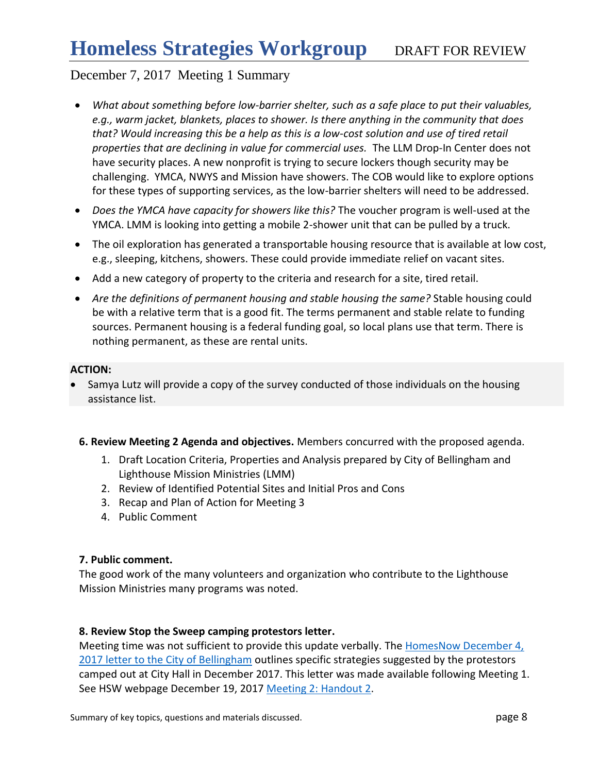- *What about something before low-barrier shelter, such as a safe place to put their valuables, e.g., warm jacket, blankets, places to shower. Is there anything in the community that does that? Would increasing this be a help as this is a low-cost solution and use of tired retail properties that are declining in value for commercial uses.* The LLM Drop-In Center does not have security places. A new nonprofit is trying to secure lockers though security may be challenging. YMCA, NWYS and Mission have showers. The COB would like to explore options for these types of supporting services, as the low-barrier shelters will need to be addressed.
- *Does the YMCA have capacity for showers like this?* The voucher program is well-used at the YMCA. LMM is looking into getting a mobile 2-shower unit that can be pulled by a truck.
- The oil exploration has generated a transportable housing resource that is available at low cost, e.g., sleeping, kitchens, showers. These could provide immediate relief on vacant sites.
- Add a new category of property to the criteria and research for a site, tired retail.
- *Are the definitions of permanent housing and stable housing the same?* Stable housing could be with a relative term that is a good fit. The terms permanent and stable relate to funding sources. Permanent housing is a federal funding goal, so local plans use that term. There is nothing permanent, as these are rental units.

### **ACTION:**

- Samya Lutz will provide a copy of the survey conducted of those individuals on the housing assistance list.
- **6. Review Meeting 2 Agenda and objectives.** Members concurred with the proposed agenda.
	- 1. Draft Location Criteria, Properties and Analysis prepared by City of Bellingham and Lighthouse Mission Ministries (LMM)
	- 2. Review of Identified Potential Sites and Initial Pros and Cons
	- 3. Recap and Plan of Action for Meeting 3
	- 4. Public Comment

### **7. Public comment.**

The good work of the many volunteers and organization who contribute to the Lighthouse Mission Ministries many programs was noted.

### **8. Review Stop the Sweep camping protestors letter.**

Meeting time was not sufficient to provide this update verbally. The HomesNow December 4, [2017 letter to the City of Bellingham](https://www.whatcomcounty.us/2748/Homeless-Strategies-Workgroup-Meeting-In) outlines specific strategies suggested by the protestors camped out at City Hall in December 2017. This letter was made available following Meeting 1. See HSW webpage December 19, 2017 [Meeting 2:](http://www.co.whatcom.wa.us/2748/Homeless-Strategies-Workgroup-Meeting-In) Handout 2.